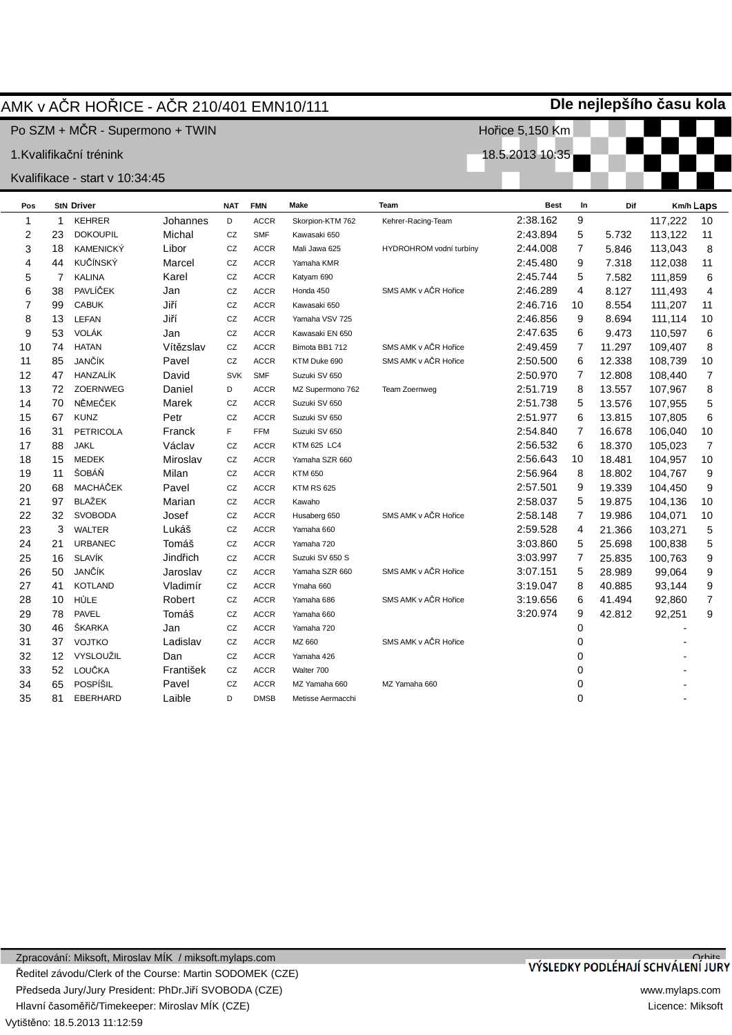### AMK v AýR HOěICE - AýR 210/401 EMN10/111

Po SZM + MČR - Supermono + TWIN

1.Kvalifikační trénink

#### Kvalifikace - start v 10:34:45

| <u><i><b>A</b></i></u> vallinauc |                | <del>טוי. ד</del> ט.טו וי זוגוס - |           |            |             |                    |                         |             |                |        |           |                         |
|----------------------------------|----------------|-----------------------------------|-----------|------------|-------------|--------------------|-------------------------|-------------|----------------|--------|-----------|-------------------------|
| Pos                              |                | <b>StN Driver</b>                 |           | <b>NAT</b> | <b>FMN</b>  | <b>Make</b>        | Team                    | <b>Best</b> | In             | Dif    | Km/h Laps |                         |
| 1                                | 1              | <b>KEHRER</b>                     | Johannes  | D          | <b>ACCR</b> | Skorpion-KTM 762   | Kehrer-Racing-Team      | 2:38.162    | 9              |        | 117,222   | 10                      |
| 2                                | 23             | <b>DOKOUPIL</b>                   | Michal    | CZ         | <b>SMF</b>  | Kawasaki 650       |                         | 2:43.894    | 5              | 5.732  | 113,122   | 11                      |
| 3                                | 18             | <b>KAMENICKÝ</b>                  | Libor     | CZ         | <b>ACCR</b> | Mali Jawa 625      | HYDROHROM vodní turbíny | 2:44.008    | $\overline{7}$ | 5.846  | 113,043   | 8                       |
| 4                                | 44             | KUČÍNSKÝ                          | Marcel    | CZ         | <b>ACCR</b> | Yamaha KMR         |                         | 2:45.480    | 9              | 7.318  | 112,038   | 11                      |
| 5                                | $\overline{7}$ | <b>KALINA</b>                     | Karel     | CZ         | <b>ACCR</b> | Katyam 690         |                         | 2:45.744    | 5              | 7.582  | 111,859   | 6                       |
| 6                                | 38             | PAVLÍČEK                          | Jan       | CZ         | <b>ACCR</b> | Honda 450          | SMS AMK v AČR Hořice    | 2:46.289    | $\overline{4}$ | 8.127  | 111,493   | $\overline{\mathbf{4}}$ |
| 7                                | 99             | <b>CABUK</b>                      | Jiří      | CZ         | <b>ACCR</b> | Kawasaki 650       |                         | 2:46.716    | 10             | 8.554  | 111,207   | 11                      |
| 8                                | 13             | LEFAN                             | Jiří      | CZ         | <b>ACCR</b> | Yamaha VSV 725     |                         | 2:46.856    | 9              | 8.694  | 111,114   | 10                      |
| 9                                | 53             | VOLÁK                             | Jan       | CZ         | <b>ACCR</b> | Kawasaki EN 650    |                         | 2:47.635    | 6              | 9.473  | 110,597   | 6                       |
| 10                               | 74             | <b>HATAN</b>                      | Vítězslav | CZ         | <b>ACCR</b> | Bimota BB1 712     | SMS AMK v AČR Hořice    | 2:49.459    | 7              | 11.297 | 109,407   | 8                       |
| 11                               | 85             | JANČÍK                            | Pavel     | CZ         | <b>ACCR</b> | KTM Duke 690       | SMS AMK v AČR Hořice    | 2:50.500    | 6              | 12.338 | 108,739   | 10                      |
| 12                               | 47             | HANZALÍK                          | David     | <b>SVK</b> | <b>SMF</b>  | Suzuki SV 650      |                         | 2:50.970    | 7              | 12.808 | 108,440   | $\overline{7}$          |
| 13                               | 72             | <b>ZOERNWEG</b>                   | Daniel    | D          | <b>ACCR</b> | MZ Supermono 762   | Team Zoernweg           | 2:51.719    | 8              | 13.557 | 107,967   | 8                       |
| 14                               | 70             | NĚMEČEK                           | Marek     | CZ         | <b>ACCR</b> | Suzuki SV 650      |                         | 2:51.738    | 5              | 13.576 | 107,955   | 5                       |
| 15                               | 67             | <b>KUNZ</b>                       | Petr      | CZ         | <b>ACCR</b> | Suzuki SV 650      |                         | 2:51.977    | 6              | 13.815 | 107,805   | 6                       |
| 16                               | 31             | <b>PETRICOLA</b>                  | Franck    | F          | <b>FFM</b>  | Suzuki SV 650      |                         | 2:54.840    | $\overline{7}$ | 16.678 | 106,040   | 10                      |
| 17                               | 88             | <b>JAKL</b>                       | Václav    | CZ         | <b>ACCR</b> | <b>KTM 625 LC4</b> |                         | 2:56.532    | 6              | 18.370 | 105,023   | $\overline{7}$          |
| 18                               | 15             | <b>MEDEK</b>                      | Miroslav  | CZ         | <b>ACCR</b> | Yamaha SZR 660     |                         | 2:56.643    | 10             | 18.481 | 104,957   | 10                      |
| 19                               | 11             | ŠOBÁŇ                             | Milan     | CZ         | <b>ACCR</b> | <b>KTM 650</b>     |                         | 2:56.964    | 8              | 18.802 | 104,767   | 9                       |
| 20                               | 68             | MACHÁČEK                          | Pavel     | CZ         | <b>ACCR</b> | <b>KTM RS 625</b>  |                         | 2:57.501    | 9              | 19.339 | 104,450   | $\boldsymbol{9}$        |
| 21                               | 97             | <b>BLAŽEK</b>                     | Marian    | CZ         | <b>ACCR</b> | Kawaho             |                         | 2:58.037    | 5              | 19.875 | 104,136   | 10                      |
| 22                               | 32             | <b>SVOBODA</b>                    | Josef     | CZ         | <b>ACCR</b> | Husaberg 650       | SMS AMK v AČR Hořice    | 2:58.148    | 7              | 19.986 | 104,071   | 10                      |
| 23                               | 3              | <b>WALTER</b>                     | Lukáš     | CZ         | <b>ACCR</b> | Yamaha 660         |                         | 2:59.528    | 4              | 21.366 | 103,271   | 5                       |
| 24                               | 21             | <b>URBANEC</b>                    | Tomáš     | CZ         | <b>ACCR</b> | Yamaha 720         |                         | 3:03.860    | 5              | 25.698 | 100,838   | 5                       |
| 25                               | 16             | <b>SLAVÍK</b>                     | Jindřich  | CZ         | <b>ACCR</b> | Suzuki SV 650 S    |                         | 3:03.997    | 7              | 25.835 | 100,763   | $\boldsymbol{9}$        |
| 26                               | 50             | JANČÍK                            | Jaroslav  | CZ         | <b>ACCR</b> | Yamaha SZR 660     | SMS AMK v AČR Hořice    | 3:07.151    | 5              | 28.989 | 99,064    | $\boldsymbol{9}$        |
| 27                               | 41             | <b>KOTLAND</b>                    | Vladimír  | CZ         | <b>ACCR</b> | Ymaha 660          |                         | 3:19.047    | 8              | 40.885 | 93,144    | 9                       |
| 28                               | 10             | HŮLE                              | Robert    | CZ         | <b>ACCR</b> | Yamaha 686         | SMS AMK v AČR Hořice    | 3:19.656    | 6              | 41.494 | 92,860    | $\overline{7}$          |
| 29                               | 78             | <b>PAVEL</b>                      | Tomáš     | CZ         | <b>ACCR</b> | Yamaha 660         |                         | 3:20.974    | 9              | 42.812 | 92,251    | 9                       |
| 30                               | 46             | <b>SKARKA</b>                     | Jan       | CZ         | <b>ACCR</b> | Yamaha 720         |                         |             | 0              |        |           |                         |
| 31                               | 37             | <b>VOJTKO</b>                     | Ladislav  | CZ         | <b>ACCR</b> | MZ 660             | SMS AMK v AČR Hořice    |             | 0              |        |           |                         |
| 32                               | 12             | VYSLOUŽIL                         | Dan       | CZ         | <b>ACCR</b> | Yamaha 426         |                         |             | 0              |        |           |                         |
| 33                               | 52             | LOUČKA                            | František | CZ         | <b>ACCR</b> | Walter 700         |                         |             | 0              |        |           |                         |
| 34                               | 65             | POSPÍŠIL                          | Pavel     | CZ         | <b>ACCR</b> | MZ Yamaha 660      | MZ Yamaha 660           |             | 0              |        |           |                         |
| 35                               | 81             | <b>EBERHARD</b>                   | Laible    | D          | <b>DMSB</b> | Metisse Aermacchi  |                         |             | $\Omega$       |        |           |                         |

# VÝSLEDKY PODLÉHAJÍ SCHVÁLENÍ JURY

www.mylaps.com Licence: Miksoft

**Dle nejlepšího þasu kola**

Hořice 5,150 Km

18.5.2013 10:35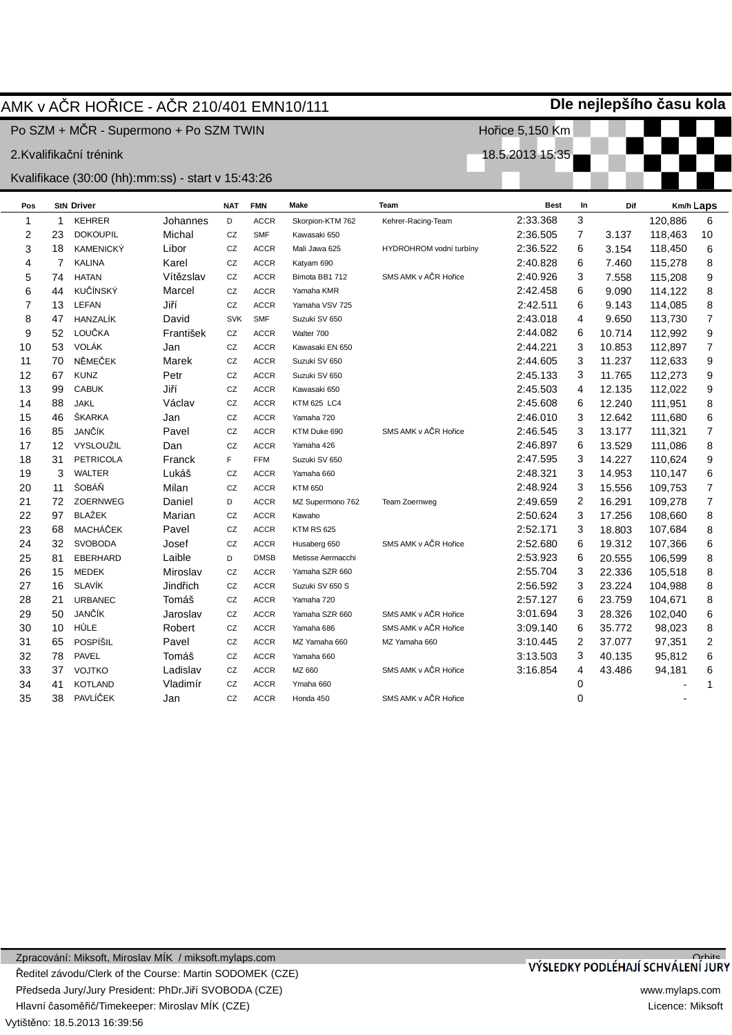|                | Dle nejlepšího času kola<br>AMK v AČR HOŘICE - AČR 210/401 EMN10/111 |                                                   |           |            |             |                    |                         |                 |                |        |         |                  |  |
|----------------|----------------------------------------------------------------------|---------------------------------------------------|-----------|------------|-------------|--------------------|-------------------------|-----------------|----------------|--------|---------|------------------|--|
|                |                                                                      | Po SZM + MČR - Supermono + Po SZM TWIN            |           |            |             |                    |                         | Hořice 5,150 Km |                |        |         |                  |  |
|                |                                                                      | 2.Kvalifikační trénink                            |           |            |             |                    |                         | 18.5.2013 15:35 |                |        |         |                  |  |
|                |                                                                      | Kvalifikace (30:00 (hh):mm:ss) - start v 15:43:26 |           |            |             |                    |                         |                 |                |        |         |                  |  |
| Pos            |                                                                      | <b>StN Driver</b>                                 |           | <b>NAT</b> | <b>FMN</b>  | Make               | Team                    | <b>Best</b>     | In             | Dif    |         | Km/h Laps        |  |
| $\mathbf{1}$   | 1                                                                    | <b>KEHRER</b>                                     | Johannes  | D          | <b>ACCR</b> | Skorpion-KTM 762   | Kehrer-Racing-Team      | 2:33.368        | 3              |        | 120,886 | 6                |  |
| $\overline{2}$ | 23                                                                   | <b>DOKOUPIL</b>                                   | Michal    | CZ         | <b>SMF</b>  | Kawasaki 650       |                         | 2:36.505        | $\overline{7}$ | 3.137  | 118,463 | 10               |  |
| 3              | 18                                                                   | <b>KAMENICKÝ</b>                                  | Libor     | CZ         | <b>ACCR</b> | Mali Jawa 625      | HYDROHROM vodní turbíny | 2:36.522        | 6              | 3.154  | 118,450 | 6                |  |
| 4              | $\overline{7}$                                                       | <b>KALINA</b>                                     | Karel     | CZ         | <b>ACCR</b> | Katyam 690         |                         | 2:40.828        | 6              | 7.460  | 115,278 | 8                |  |
| 5              | 74                                                                   | <b>HATAN</b>                                      | Vítězslav | CZ         | <b>ACCR</b> | Bimota BB1 712     | SMS AMK v AČR Hořice    | 2:40.926        | 3              | 7.558  | 115,208 | $\boldsymbol{9}$ |  |
| 6              | 44                                                                   | KUČÍNSKÝ                                          | Marcel    | CZ         | <b>ACCR</b> | Yamaha KMR         |                         | 2:42.458        | 6              | 9.090  | 114,122 | 8                |  |
| $\overline{7}$ | 13                                                                   | <b>LEFAN</b>                                      | Jiří      | CZ         | <b>ACCR</b> | Yamaha VSV 725     |                         | 2:42.511        | 6              | 9.143  | 114,085 | $\bf 8$          |  |
| 8              | 47                                                                   | HANZALÍK                                          | David     | <b>SVK</b> | <b>SMF</b>  | Suzuki SV 650      |                         | 2:43.018        | 4              | 9.650  | 113,730 | $\overline{7}$   |  |
| 9              | 52                                                                   | LOUČKA                                            | František | CZ         | <b>ACCR</b> | Walter 700         |                         | 2:44.082        | 6              | 10.714 | 112,992 | 9                |  |
| 10             | 53                                                                   | <b>VOLÁK</b>                                      | Jan       | CZ         | <b>ACCR</b> | Kawasaki EN 650    |                         | 2:44.221        | 3              | 10.853 | 112,897 | $\boldsymbol{7}$ |  |
| 11             | 70                                                                   | NĚMEČEK                                           | Marek     | CZ         | <b>ACCR</b> | Suzuki SV 650      |                         | 2:44.605        | 3              | 11.237 | 112,633 | $\boldsymbol{9}$ |  |
| 12             | 67                                                                   | <b>KUNZ</b>                                       | Petr      | CZ         | <b>ACCR</b> | Suzuki SV 650      |                         | 2:45.133        | 3              | 11.765 | 112,273 | 9                |  |
| 13             | 99                                                                   | <b>CABUK</b>                                      | Jiří      | CZ         | <b>ACCR</b> | Kawasaki 650       |                         | 2:45.503        | 4              | 12.135 | 112,022 | 9                |  |
| 14             | 88                                                                   | <b>JAKL</b>                                       | Václav    | CZ         | <b>ACCR</b> | <b>KTM 625 LC4</b> |                         | 2:45.608        | 6              | 12.240 | 111,951 | $\bf 8$          |  |
| 15             | 46                                                                   | ŠKARKA                                            | Jan       | CZ         | <b>ACCR</b> | Yamaha 720         |                         | 2:46.010        | 3              | 12.642 | 111,680 | 6                |  |
| 16             | 85                                                                   | JANČÍK                                            | Pavel     | CZ         | <b>ACCR</b> | KTM Duke 690       | SMS AMK v AČR Hořice    | 2:46.545        | 3              | 13.177 | 111,321 | $\boldsymbol{7}$ |  |
| 17             | 12                                                                   | VYSLOUŽIL                                         | Dan       | CZ         | <b>ACCR</b> | Yamaha 426         |                         | 2:46.897        | 6              | 13.529 | 111,086 | $\bf 8$          |  |
| 18             | 31                                                                   | <b>PETRICOLA</b>                                  | Franck    | F          | <b>FFM</b>  | Suzuki SV 650      |                         | 2:47.595        | 3              | 14.227 | 110,624 | 9                |  |
| 19             | 3                                                                    | <b>WALTER</b>                                     | Lukáš     | CZ         | <b>ACCR</b> | Yamaha 660         |                         | 2:48.321        | 3              | 14.953 | 110,147 | $6\phantom{a}$   |  |
| 20             | 11                                                                   | ŠOBÁŇ                                             | Milan     | CZ         | <b>ACCR</b> | <b>KTM 650</b>     |                         | 2:48.924        | 3              | 15.556 | 109,753 | $\boldsymbol{7}$ |  |
| 21             | 72                                                                   | ZOERNWEG                                          | Daniel    | D          | <b>ACCR</b> | MZ Supermono 762   | Team Zoernweg           | 2:49.659        | $\overline{2}$ | 16.291 | 109,278 | $\boldsymbol{7}$ |  |
| 22             | 97                                                                   | <b>BLAŽEK</b>                                     | Marian    | CZ         | <b>ACCR</b> | Kawaho             |                         | 2:50.624        | 3              | 17.256 | 108,660 | 8                |  |
| 23             | 68                                                                   | <b>MACHÁČEK</b>                                   | Pavel     | CZ         | <b>ACCR</b> | <b>KTM RS 625</b>  |                         | 2:52.171        | 3              | 18.803 | 107,684 | $\bf 8$          |  |
| 24             | 32                                                                   | <b>SVOBODA</b>                                    | Josef     | CZ         | <b>ACCR</b> | Husaberg 650       | SMS AMK v AČR Hořice    | 2:52.680        | 6              | 19.312 | 107,366 | $\,6$            |  |
| 25             | 81                                                                   | EBERHARD                                          | Laible    | D          | <b>DMSB</b> | Metisse Aermacchi  |                         | 2:53.923        | 6              | 20.555 | 106,599 | 8                |  |
| 26             | 15                                                                   | <b>MEDEK</b>                                      | Miroslav  | CZ         | <b>ACCR</b> | Yamaha SZR 660     |                         | 2:55.704        | 3              | 22.336 | 105,518 | 8                |  |
| 27             | 16                                                                   | <b>SLAVÍK</b>                                     | Jindřich  | CZ         | <b>ACCR</b> | Suzuki SV 650 S    |                         | 2:56.592        | 3              | 23.224 | 104,988 | 8                |  |
| 28             | 21                                                                   | <b>URBANEC</b>                                    | Tomáš     | CZ         | <b>ACCR</b> | Yamaha 720         |                         | 2:57.127        | 6              | 23.759 | 104,671 | $\bf 8$          |  |
| 29             | 50                                                                   | JANČÍK                                            | Jaroslav  | CZ         | <b>ACCR</b> | Yamaha SZR 660     | SMS AMK v AČR Hořice    | 3:01.694        | 3              | 28.326 | 102,040 | 6                |  |
| 30             | 10                                                                   | HŮLE                                              | Robert    | CZ         | <b>ACCR</b> | Yamaha 686         | SMS AMK v AČR Hořice    | 3:09.140        | 6              | 35.772 | 98,023  | 8                |  |
| 31             | 65                                                                   | POSPÍŠIL                                          | Pavel     | CZ         | <b>ACCR</b> | MZ Yamaha 660      | MZ Yamaha 660           | 3:10.445        | 2              | 37.077 | 97,351  | $\sqrt{2}$       |  |
| 32             | 78                                                                   | <b>PAVEL</b>                                      | Tomáš     | CZ         | <b>ACCR</b> | Yamaha 660         |                         | 3:13.503        | 3              | 40.135 | 95,812  | $\,$ 6 $\,$      |  |
| 33             | 37                                                                   | <b>VOJTKO</b>                                     | Ladislav  | CZ         | <b>ACCR</b> | MZ 660             | SMS AMK v AČR Hořice    | 3:16.854        | 4              | 43.486 | 94,181  | 6                |  |
| 34             | 41                                                                   | <b>KOTLAND</b>                                    | Vladimír  | CZ         | <b>ACCR</b> | Ymaha 660          |                         |                 | $\mathbf 0$    |        |         | $\mathbf{1}$     |  |
| 35             | 38                                                                   | PAVLÍČEK                                          | Jan       | CZ         | <b>ACCR</b> | Honda 450          | SMS AMK v AČR Hořice    |                 | 0              |        |         |                  |  |
|                |                                                                      |                                                   |           |            |             |                    |                         |                 |                |        |         |                  |  |

#### Vytištěno: 18.5.2013 16:39:56 Zpracování: Miksoft, Miroslav MÍK / miksoft.mylaps.com ěeditel závodu/Clerk of the Course: Martin SODOMEK (CZE) Předseda Jury/Jury President: PhDr.Jiří SVOBODA (CZE) Hlavní časoměřič/Timekeeper: Miroslav MÍK (CZE)

# **Dle nejlepšího þasu kola**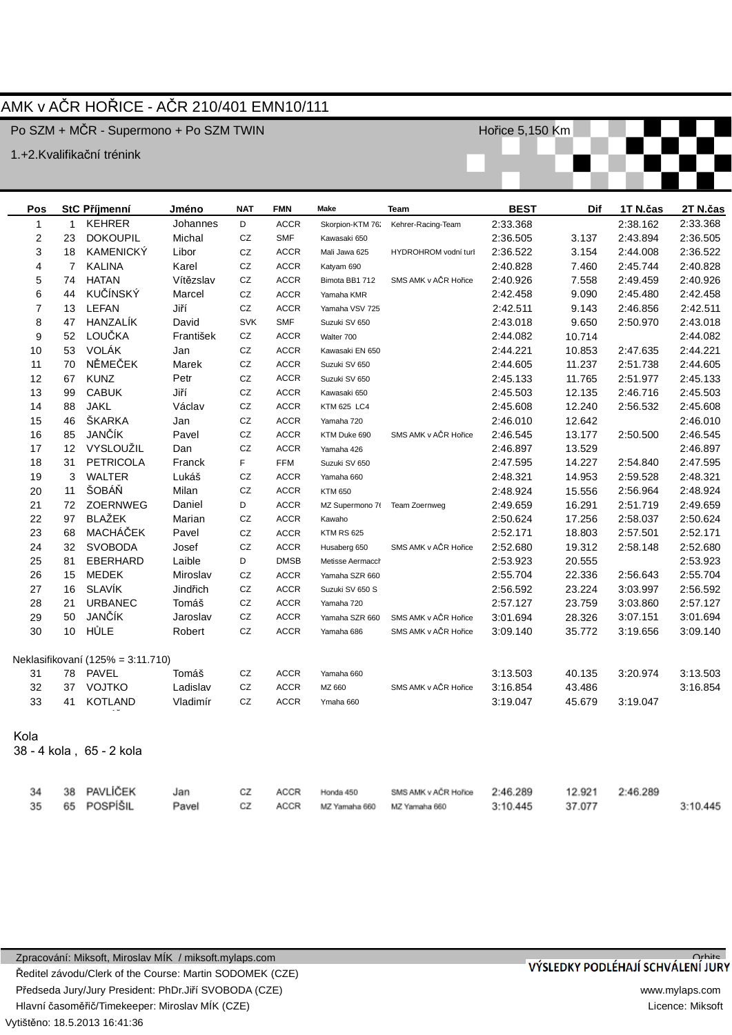## AMK v AýR HOěICE - AýR 210/401 EMN10/111

Po SZM + MČR - Supermono + Po SZM TWIN

1.+2.Kvalifikační trénink

Hořice 5,150 Km



| Pos              |                 | StC Příjmenní                     | Jméno     | <b>NAT</b> | <b>FMN</b>  | Make               | Team                 | <b>BEST</b> | Dif    | 1T N.čas | 2T N.čas |
|------------------|-----------------|-----------------------------------|-----------|------------|-------------|--------------------|----------------------|-------------|--------|----------|----------|
| $\mathbf{1}$     | $\mathbf{1}$    | <b>KEHRER</b>                     | Johannes  | D          | <b>ACCR</b> | Skorpion-KTM 76.   | Kehrer-Racing-Team   | 2:33.368    |        | 2:38.162 | 2:33.368 |
| $\boldsymbol{2}$ | 23              | <b>DOKOUPIL</b>                   | Michal    | CZ         | <b>SMF</b>  | Kawasaki 650       |                      | 2:36.505    | 3.137  | 2:43.894 | 2:36.505 |
| 3                | 18              | <b>KAMENICKY</b>                  | Libor     | CZ         | <b>ACCR</b> | Mali Jawa 625      | HYDROHROM vodní turl | 2:36.522    | 3.154  | 2:44.008 | 2:36.522 |
| 4                | $\overline{7}$  | <b>KALINA</b>                     | Karel     | CZ         | <b>ACCR</b> | Katyam 690         |                      | 2:40.828    | 7.460  | 2:45.744 | 2:40.828 |
| 5                | 74              | <b>HATAN</b>                      | Vítězslav | CZ         | <b>ACCR</b> | Bimota BB1 712     | SMS AMK v AČR Hořice | 2:40.926    | 7.558  | 2:49.459 | 2:40.926 |
| 6                | 44              | KUČÍNSKÝ                          | Marcel    | CZ         | <b>ACCR</b> | Yamaha KMR         |                      | 2:42.458    | 9.090  | 2:45.480 | 2:42.458 |
| $\overline{7}$   | 13              | <b>LEFAN</b>                      | Jiří      | CZ         | <b>ACCR</b> | Yamaha VSV 725     |                      | 2:42.511    | 9.143  | 2:46.856 | 2:42.511 |
| 8                | 47              | HANZALIK                          | David     | <b>SVK</b> | <b>SMF</b>  | Suzuki SV 650      |                      | 2:43.018    | 9.650  | 2:50.970 | 2:43.018 |
| 9                | 52              | LOUČKA                            | František | CZ         | <b>ACCR</b> | Walter 700         |                      | 2:44.082    | 10.714 |          | 2:44.082 |
| 10               | 53              | VOLÁK                             | Jan       | CZ         | <b>ACCR</b> | Kawasaki EN 650    |                      | 2:44.221    | 10.853 | 2:47.635 | 2:44.221 |
| 11               | 70              | NĚMEČEK                           | Marek     | CZ         | <b>ACCR</b> | Suzuki SV 650      |                      | 2:44.605    | 11.237 | 2:51.738 | 2:44.605 |
| 12               | 67              | <b>KUNZ</b>                       | Petr      | CZ         | <b>ACCR</b> | Suzuki SV 650      |                      | 2:45.133    | 11.765 | 2:51.977 | 2:45.133 |
| 13               | 99              | <b>CABUK</b>                      | Jiří      | CZ         | <b>ACCR</b> | Kawasaki 650       |                      | 2:45.503    | 12.135 | 2:46.716 | 2:45.503 |
| 14               | 88              | <b>JAKL</b>                       | Václav    | CZ         | <b>ACCR</b> | <b>KTM 625 LC4</b> |                      | 2:45.608    | 12.240 | 2:56.532 | 2:45.608 |
| 15               | 46              | <b>SKARKA</b>                     | Jan       | ${\tt CZ}$ | <b>ACCR</b> | Yamaha 720         |                      | 2:46.010    | 12.642 |          | 2:46.010 |
| 16               | 85              | JANČÍK                            | Pavel     | CZ         | <b>ACCR</b> | KTM Duke 690       | SMS AMK v AČR Hořice | 2:46.545    | 13.177 | 2:50.500 | 2:46.545 |
| 17               | 12 <sup>°</sup> | VYSLOUŽIL                         | Dan       | CZ         | <b>ACCR</b> | Yamaha 426         |                      | 2:46.897    | 13.529 |          | 2:46.897 |
| 18               | 31              | <b>PETRICOLA</b>                  | Franck    | F.         | <b>FFM</b>  | Suzuki SV 650      |                      | 2:47.595    | 14.227 | 2:54.840 | 2:47.595 |
| 19               | 3               | <b>WALTER</b>                     | Lukáš     | CZ         | <b>ACCR</b> | Yamaha 660         |                      | 2:48.321    | 14.953 | 2:59.528 | 2:48.321 |
| 20               | 11              | ŠOBÁŇ                             | Milan     | CZ         | <b>ACCR</b> | <b>KTM 650</b>     |                      | 2:48.924    | 15.556 | 2:56.964 | 2:48.924 |
| 21               | 72              | ZOERNWEG                          | Daniel    | D          | <b>ACCR</b> | MZ Supermono 76    | Team Zoernweg        | 2:49.659    | 16.291 | 2:51.719 | 2:49.659 |
| 22               | 97              | <b>BLAŽEK</b>                     | Marian    | CZ         | <b>ACCR</b> | Kawaho             |                      | 2:50.624    | 17.256 | 2:58.037 | 2:50.624 |
| 23               | 68              | MACHÁČEK                          | Pavel     | CZ         | <b>ACCR</b> | <b>KTM RS 625</b>  |                      | 2:52.171    | 18.803 | 2:57.501 | 2:52.171 |
| 24               | 32              | <b>SVOBODA</b>                    | Josef     | CZ         | <b>ACCR</b> | Husaberg 650       | SMS AMK v AČR Hořice | 2:52.680    | 19.312 | 2:58.148 | 2:52.680 |
| 25               | 81              | EBERHARD                          | Laible    | D          | <b>DMSB</b> | Metisse Aermacch   |                      | 2:53.923    | 20.555 |          | 2:53.923 |
| 26               | 15              | <b>MEDEK</b>                      | Miroslav  | CZ         | <b>ACCR</b> | Yamaha SZR 660     |                      | 2:55.704    | 22.336 | 2:56.643 | 2:55.704 |
| 27               | 16              | SLAVÍK                            | Jindřich  | CZ         | <b>ACCR</b> | Suzuki SV 650 S    |                      | 2:56.592    | 23.224 | 3:03.997 | 2:56.592 |
| 28               | 21              | <b>URBANEC</b>                    | Tomáš     | CZ         | <b>ACCR</b> | Yamaha 720         |                      | 2:57.127    | 23.759 | 3:03.860 | 2:57.127 |
| 29               | 50              | JANČÍK                            | Jaroslav  | CZ         | <b>ACCR</b> | Yamaha SZR 660     | SMS AMK v AČR Hořice | 3:01.694    | 28.326 | 3:07.151 | 3:01.694 |
| 30               | 10 <sup>1</sup> | HŮLE                              | Robert    | CZ         | <b>ACCR</b> | Yamaha 686         | SMS AMK v AČR Hořice | 3:09.140    | 35.772 | 3:19.656 | 3:09.140 |
|                  |                 | Neklasifikovaní (125% = 3:11.710) |           |            |             |                    |                      |             |        |          |          |
| 31               |                 | 78 PAVEL                          | Tomáš     | CZ         | <b>ACCR</b> | Yamaha 660         |                      | 3:13.503    | 40.135 | 3:20.974 | 3:13.503 |
| 32               | 37              | VOJTKO                            | Ladislav  | CZ         | <b>ACCR</b> | MZ 660             | SMS AMK v AČR Hořice | 3:16.854    | 43.486 |          | 3:16.854 |
| 33               | 41              | <b>KOTLAND</b>                    | Vladimír  | CZ         | <b>ACCR</b> | Ymaha 660          |                      | 3:19.047    | 45.679 | 3:19.047 |          |
|                  |                 |                                   |           |            |             |                    |                      |             |        |          |          |
| Kola             |                 |                                   |           |            |             |                    |                      |             |        |          |          |
|                  |                 | 38 - 4 kola, 65 - 2 kola          |           |            |             |                    |                      |             |        |          |          |
|                  |                 |                                   |           |            |             |                    |                      |             |        |          |          |
|                  |                 |                                   |           |            |             |                    |                      |             |        |          |          |
| 34               | 38              | PAVLÍČEK                          | Jan       | CZ         | ACCR        | Honda 450          | SMS AMK v AČR Hořice | 2:46.289    | 12.921 | 2:46.289 |          |
| 35               | 65              | POSPÍŠIL                          | Pavel     | CZ         | ACCR        | MZ Yamaha 660      | MZ Yamaha 660        | 3:10.445    | 37.077 |          | 3:10.445 |

Vytištěno: 18.5.2013 16:41:36 Zpracování: Miksoft, Miroslav MÍK / miksoft.mylaps.com ěeditel závodu/Clerk of the Course: Martin SODOMEK (CZE) Předseda Jury/Jury President: PhDr.Jiří SVOBODA (CZE) Hlavní časoměřič/Timekeeper: Miroslav MÍK (CZE)

# VÝSLEDKY PODLÉHAJÍ SCHVÁLENÍ JURY

www.mylaps.com Licence: Miksoft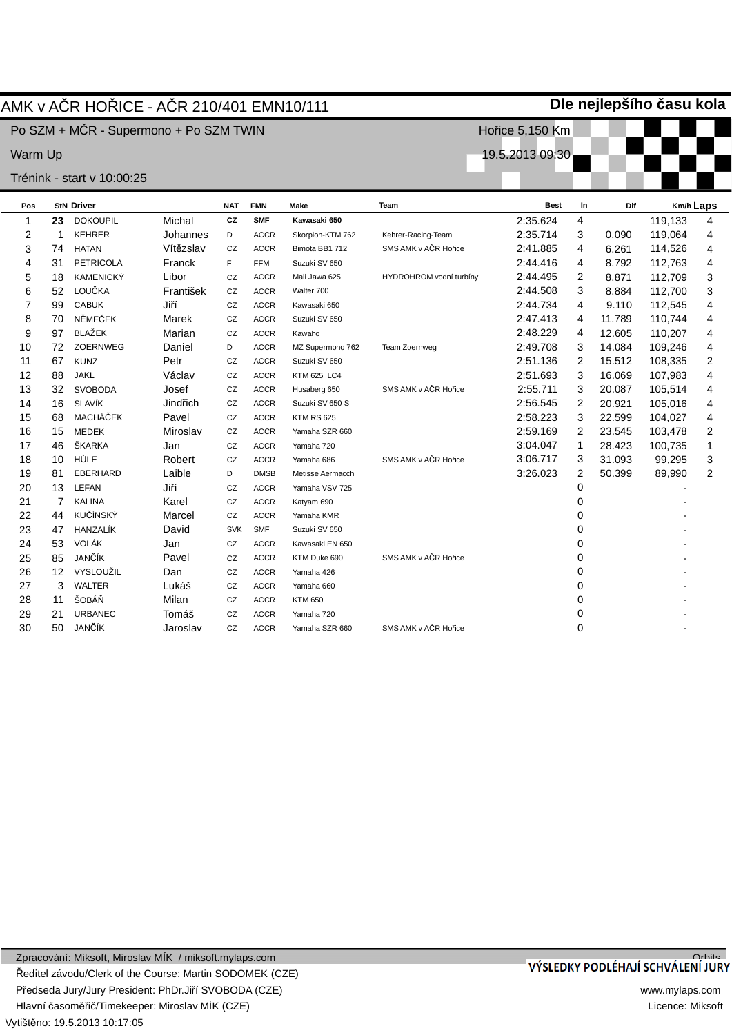|             |                |                            | AMK v AČR HOŘICE - AČR 210/401 EMN10/111 |            |             |                    | Dle nejlepšího času kola |                 |                |        |         |           |  |  |  |
|-------------|----------------|----------------------------|------------------------------------------|------------|-------------|--------------------|--------------------------|-----------------|----------------|--------|---------|-----------|--|--|--|
|             |                |                            | Po SZM + MČR - Supermono + Po SZM TWIN   |            |             |                    |                          | Hořice 5,150 Km |                |        |         |           |  |  |  |
| Warm Up     |                |                            |                                          |            |             |                    |                          | 19.5.2013 09:30 |                |        |         |           |  |  |  |
|             |                | Trénink - start v 10:00:25 |                                          |            |             |                    |                          |                 |                |        |         |           |  |  |  |
| Pos         |                | <b>StN Driver</b>          |                                          | <b>NAT</b> | <b>FMN</b>  | Make               | Team                     | <b>Best</b>     | In             | Dif    |         | Km/h Laps |  |  |  |
| $\mathbf 1$ | 23             | <b>DOKOUPIL</b>            | Michal                                   | CZ         | <b>SMF</b>  | Kawasaki 650       |                          | 2:35.624        | 4              |        | 119,133 | 4         |  |  |  |
| 2           | 1              | <b>KEHRER</b>              | Johannes                                 | D          | <b>ACCR</b> | Skorpion-KTM 762   | Kehrer-Racing-Team       | 2:35.714        | 3              | 0.090  | 119,064 | 4         |  |  |  |
| 3           | 74             | <b>HATAN</b>               | Vítězslav                                | CZ         | <b>ACCR</b> | Bimota BB1 712     | SMS AMK v AČR Hořice     | 2:41.885        | 4              | 6.261  | 114,526 | 4         |  |  |  |
| 4           | 31             | <b>PETRICOLA</b>           | Franck                                   | F          | <b>FFM</b>  | Suzuki SV 650      |                          | 2:44.416        | 4              | 8.792  | 112,763 | 4         |  |  |  |
| 5           | 18             | <b>KAMENICKÝ</b>           | Libor                                    | CZ         | <b>ACCR</b> | Mali Jawa 625      | HYDROHROM vodní turbíny  | 2:44.495        | 2              | 8.871  | 112,709 | 3         |  |  |  |
| 6           | 52             | LOUČKA                     | František                                | CZ         | <b>ACCR</b> | Walter 700         |                          | 2:44.508        | 3              | 8.884  | 112,700 | 3         |  |  |  |
| 7           | 99             | <b>CABUK</b>               | Jiří                                     | CZ         | <b>ACCR</b> | Kawasaki 650       |                          | 2:44.734        | 4              | 9.110  | 112,545 | 4         |  |  |  |
| 8           | 70             | NĚMEČEK                    | Marek                                    | CZ         | <b>ACCR</b> | Suzuki SV 650      |                          | 2:47.413        | 4              | 11.789 | 110,744 | 4         |  |  |  |
| 9           | 97             | <b>BLAŽEK</b>              | Marian                                   | CZ         | <b>ACCR</b> | Kawaho             |                          | 2:48.229        | 4              | 12.605 | 110,207 | 4         |  |  |  |
| 10          | 72             | <b>ZOERNWEG</b>            | Daniel                                   | D          | <b>ACCR</b> | MZ Supermono 762   | Team Zoernweg            | 2:49.708        | 3              | 14.084 | 109,246 | 4         |  |  |  |
| 11          | 67             | <b>KUNZ</b>                | Petr                                     | CZ         | <b>ACCR</b> | Suzuki SV 650      |                          | 2:51.136        | $\overline{2}$ | 15.512 | 108,335 | 2         |  |  |  |
| 12          | 88             | <b>JAKL</b>                | Václav                                   | CZ         | <b>ACCR</b> | <b>KTM 625 LC4</b> |                          | 2:51.693        | 3              | 16.069 | 107,983 | 4         |  |  |  |
| 13          | 32             | <b>SVOBODA</b>             | Josef                                    | CZ         | <b>ACCR</b> | Husaberg 650       | SMS AMK v AČR Hořice     | 2:55.711        | 3              | 20.087 | 105,514 | 4         |  |  |  |
| 14          | 16             | <b>SLAVÍK</b>              | Jindřich                                 | CZ         | <b>ACCR</b> | Suzuki SV 650 S    |                          | 2:56.545        | 2              | 20.921 | 105,016 | 4         |  |  |  |
| 15          | 68             | MACHÁČEK                   | Pavel                                    | CZ         | <b>ACCR</b> | <b>KTM RS 625</b>  |                          | 2:58.223        | 3              | 22.599 | 104,027 | 4         |  |  |  |
| 16          | 15             | <b>MEDEK</b>               | Miroslav                                 | CZ         | <b>ACCR</b> | Yamaha SZR 660     |                          | 2:59.169        | $\overline{c}$ | 23.545 | 103,478 | 2         |  |  |  |
| 17          | 46             | ŠKARKA                     | Jan                                      | CZ         | <b>ACCR</b> | Yamaha 720         |                          | 3:04.047        | $\mathbf{1}$   | 28.423 | 100,735 | 1         |  |  |  |
| 18          | 10             | HŮLE                       | Robert                                   | CZ         | <b>ACCR</b> | Yamaha 686         | SMS AMK v AČR Hořice     | 3:06.717        | 3              | 31.093 | 99,295  | 3         |  |  |  |
| 19          | 81             | <b>EBERHARD</b>            | Laible                                   | D          | <b>DMSB</b> | Metisse Aermacchi  |                          | 3:26.023        | 2              | 50.399 | 89,990  | 2         |  |  |  |
| 20          | 13             | <b>LEFAN</b>               | Jiří                                     | CZ         | <b>ACCR</b> | Yamaha VSV 725     |                          |                 | 0              |        |         |           |  |  |  |
| 21          | $\overline{7}$ | <b>KALINA</b>              | Karel                                    | CZ         | <b>ACCR</b> | Katyam 690         |                          |                 | 0              |        |         |           |  |  |  |
| 22          | 44             | <b>KUČÍNSKÝ</b>            | Marcel                                   | CZ         | <b>ACCR</b> | Yamaha KMR         |                          |                 | 0              |        |         |           |  |  |  |
| 23          | 47             | HANZALÍK                   | David                                    | <b>SVK</b> | <b>SMF</b>  | Suzuki SV 650      |                          |                 | 0              |        |         |           |  |  |  |
| 24          | 53             | <b>VOLÁK</b>               | Jan                                      | CZ         | <b>ACCR</b> | Kawasaki EN 650    |                          |                 | 0              |        |         |           |  |  |  |
| 25          | 85             | JANČÍK                     | Pavel                                    | CZ         | <b>ACCR</b> | KTM Duke 690       | SMS AMK v AČR Hořice     |                 | 0              |        |         |           |  |  |  |
| 26          | 12             | VYSLOUŽIL                  | Dan                                      | CZ         | <b>ACCR</b> | Yamaha 426         |                          |                 | 0              |        |         |           |  |  |  |
| 27          | 3              | <b>WALTER</b>              | Lukáš                                    | CZ         | <b>ACCR</b> | Yamaha 660         |                          |                 | 0              |        |         |           |  |  |  |
| 28          | 11             | ŠOBÁŇ                      | Milan                                    | CZ         | <b>ACCR</b> | <b>KTM 650</b>     |                          |                 | 0              |        |         |           |  |  |  |
| 29          | 21             | <b>URBANEC</b>             | Tomáš                                    | CZ         | <b>ACCR</b> | Yamaha 720         |                          |                 | 0              |        |         |           |  |  |  |
| 30          | 50             | JANČÍK                     | Jaroslav                                 | CZ         | <b>ACCR</b> | Yamaha SZR 660     | SMS AMK v AČR Hořice     |                 | $\Omega$       |        |         |           |  |  |  |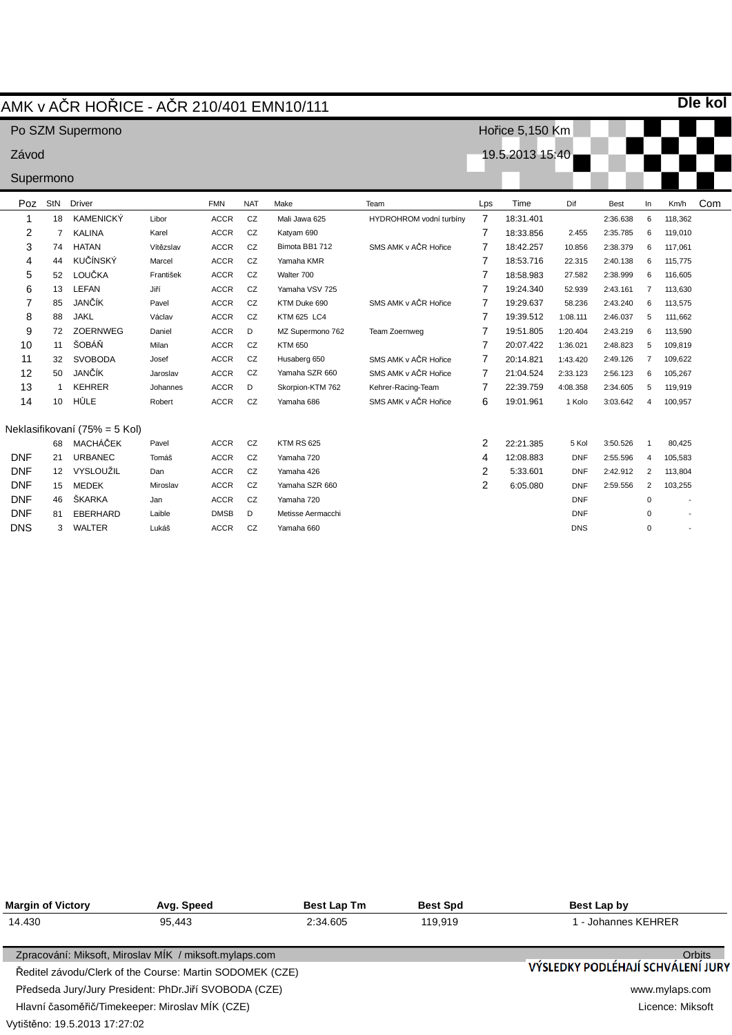|            |                | AMK v AČR HOŘICE - AČR 210/401 EMN10/111 |           |             |            |                    |                         |                |                 |            |             |                |         | <b>Die kol</b> |
|------------|----------------|------------------------------------------|-----------|-------------|------------|--------------------|-------------------------|----------------|-----------------|------------|-------------|----------------|---------|----------------|
|            |                | Po SZM Supermono                         |           |             |            |                    |                         |                | Hořice 5,150 Km |            |             |                |         |                |
| Závod      |                |                                          |           |             |            |                    |                         |                | 19.5.2013 15:40 |            |             |                |         |                |
| Supermono  |                |                                          |           |             |            |                    |                         |                |                 |            |             |                |         |                |
|            |                |                                          |           |             |            |                    |                         |                |                 |            |             |                |         |                |
| Poz        | StN            | <b>Driver</b>                            |           | <b>FMN</b>  | <b>NAT</b> | Make               | Team                    | Lps            | Time            | Dif        | <b>Best</b> | In             | Km/h    | Com            |
| 1          | 18             | <b>KAMENICKÝ</b>                         | Libor     | <b>ACCR</b> | CZ         | Mali Jawa 625      | HYDROHROM vodní turbíny | $\overline{7}$ | 18:31.401       |            | 2:36.638    | 6              | 118,362 |                |
| 2          | $\overline{7}$ | <b>KALINA</b>                            | Karel     | <b>ACCR</b> | CZ         | Katyam 690         |                         | $\overline{7}$ | 18:33.856       | 2.455      | 2:35.785    | 6              | 119,010 |                |
| 3          | 74             | <b>HATAN</b>                             | Vítězslav | <b>ACCR</b> | CZ         | Bimota BB1 712     | SMS AMK v AČR Hořice    | 7              | 18:42.257       | 10.856     | 2:38.379    | 6              | 117,061 |                |
| 4          | 44             | <b>KUČÍNSKÝ</b>                          | Marcel    | <b>ACCR</b> | CZ         | Yamaha KMR         |                         | 7              | 18:53.716       | 22.315     | 2:40.138    | 6              | 115,775 |                |
| 5          | 52             | LOUČKA                                   | František | <b>ACCR</b> | CZ         | Walter 700         |                         | 7              | 18:58.983       | 27.582     | 2:38.999    | 6              | 116,605 |                |
| 6          | 13             | LEFAN                                    | Jiří      | <b>ACCR</b> | CZ         | Yamaha VSV 725     |                         | 7              | 19:24.340       | 52.939     | 2:43.161    | $\overline{7}$ | 113,630 |                |
| 7          | 85             | JANČÍK                                   | Pavel     | <b>ACCR</b> | CZ         | KTM Duke 690       | SMS AMK v AČR Hořice    | 7              | 19:29.637       | 58.236     | 2:43.240    | 6              | 113,575 |                |
| 8          | 88             | <b>JAKL</b>                              | Václav    | <b>ACCR</b> | CZ         | <b>KTM 625 LC4</b> |                         | 7              | 19:39.512       | 1:08.111   | 2:46.037    | 5              | 111,662 |                |
| 9          | 72             | <b>ZOERNWEG</b>                          | Daniel    | <b>ACCR</b> | D          | MZ Supermono 762   | Team Zoernweg           | 7              | 19:51.805       | 1:20.404   | 2:43.219    | 6              | 113,590 |                |
| 10         | 11             | ŠOBÁŇ                                    | Milan     | <b>ACCR</b> | CZ         | <b>KTM 650</b>     |                         | $\overline{7}$ | 20:07.422       | 1:36.021   | 2:48.823    | 5              | 109.819 |                |
| 11         | 32             | <b>SVOBODA</b>                           | Josef     | <b>ACCR</b> | CZ         | Husaberg 650       | SMS AMK v AČR Hořice    | 7              | 20:14.821       | 1:43.420   | 2:49.126    | $\overline{7}$ | 109,622 |                |
| 12         | 50             | JANČÍK                                   | Jaroslav  | <b>ACCR</b> | CZ         | Yamaha SZR 660     | SMS AMK v AČR Hořice    | 7              | 21:04.524       | 2:33.123   | 2:56.123    | 6              | 105,267 |                |
| 13         | -1             | <b>KEHRER</b>                            | Johannes  | <b>ACCR</b> | D          | Skorpion-KTM 762   | Kehrer-Racing-Team      | 7              | 22:39.759       | 4:08.358   | 2:34.605    | 5              | 119,919 |                |
| 14         | 10             | HŮLE                                     | Robert    | <b>ACCR</b> | CZ         | Yamaha 686         | SMS AMK v AČR Hořice    | 6              | 19:01.961       | 1 Kolo     | 3:03.642    | 4              | 100,957 |                |
|            |                | Neklasifikovaní (75% = 5 Kol)            |           |             |            |                    |                         |                |                 |            |             |                |         |                |
|            | 68             | <b>MACHÁČEK</b>                          | Pavel     | <b>ACCR</b> | CZ         | <b>KTM RS 625</b>  |                         | 2              | 22:21.385       | 5 Kol      | 3:50.526    | $\mathbf{1}$   | 80,425  |                |
| <b>DNF</b> | 21             | <b>URBANEC</b>                           | Tomáš     | <b>ACCR</b> | CZ         | Yamaha 720         |                         | 4              | 12:08.883       | <b>DNF</b> | 2:55.596    | 4              | 105,583 |                |
| <b>DNF</b> | 12             | VYSLOUŽIL                                | Dan       | <b>ACCR</b> | CZ         | Yamaha 426         |                         | 2              | 5:33.601        | <b>DNF</b> | 2:42.912    | 2              | 113,804 |                |
| <b>DNF</b> | 15             | <b>MEDEK</b>                             | Miroslav  | <b>ACCR</b> | CZ         | Yamaha SZR 660     |                         | $\overline{2}$ | 6:05.080        | <b>DNF</b> | 2:59.556    | 2              | 103,255 |                |
| <b>DNF</b> | 46             | ŠKARKA                                   | Jan       | <b>ACCR</b> | CZ         | Yamaha 720         |                         |                |                 | <b>DNF</b> |             | $\mathbf 0$    |         |                |
| <b>DNF</b> | 81             | <b>EBERHARD</b>                          | Laible    | <b>DMSB</b> | D          | Metisse Aermacchi  |                         |                |                 | <b>DNF</b> |             | $\Omega$       |         |                |

DNS

 $\pmb{0}$ 

-

DNS

3 WALTER

Lukáš

ACCR CZ Yamaha 660

| <b>Margin of Victory</b>      | Avg. Speed                                               | <b>Best Lap Tm</b> | <b>Best Spd</b>  | Best Lap by                                        |
|-------------------------------|----------------------------------------------------------|--------------------|------------------|----------------------------------------------------|
| 14.430                        | 95.443                                                   | 2:34.605           | 119.919          | 1 - Johannes KEHRER                                |
|                               | Zpracování: Miksoft, Miroslav MÍK / miksoft.mylaps.com   |                    |                  | <b>Orbits</b><br>VÝSLEDKY PODLÉHAJÍ SCHVÁLENÍ JURY |
|                               | Ředitel závodu/Clerk of the Course: Martin SODOMEK (CZE) |                    |                  |                                                    |
|                               | Předseda Jury/Jury President: PhDr.Jiří SVOBODA (CZE)    |                    |                  | www.mylaps.com                                     |
|                               | Hlavní časoměřič/Timekeeper: Miroslav MÍK (CZE)          |                    | Licence: Miksoft |                                                    |
| Vytištěno: 19.5.2013 17:27:02 |                                                          |                    |                  |                                                    |